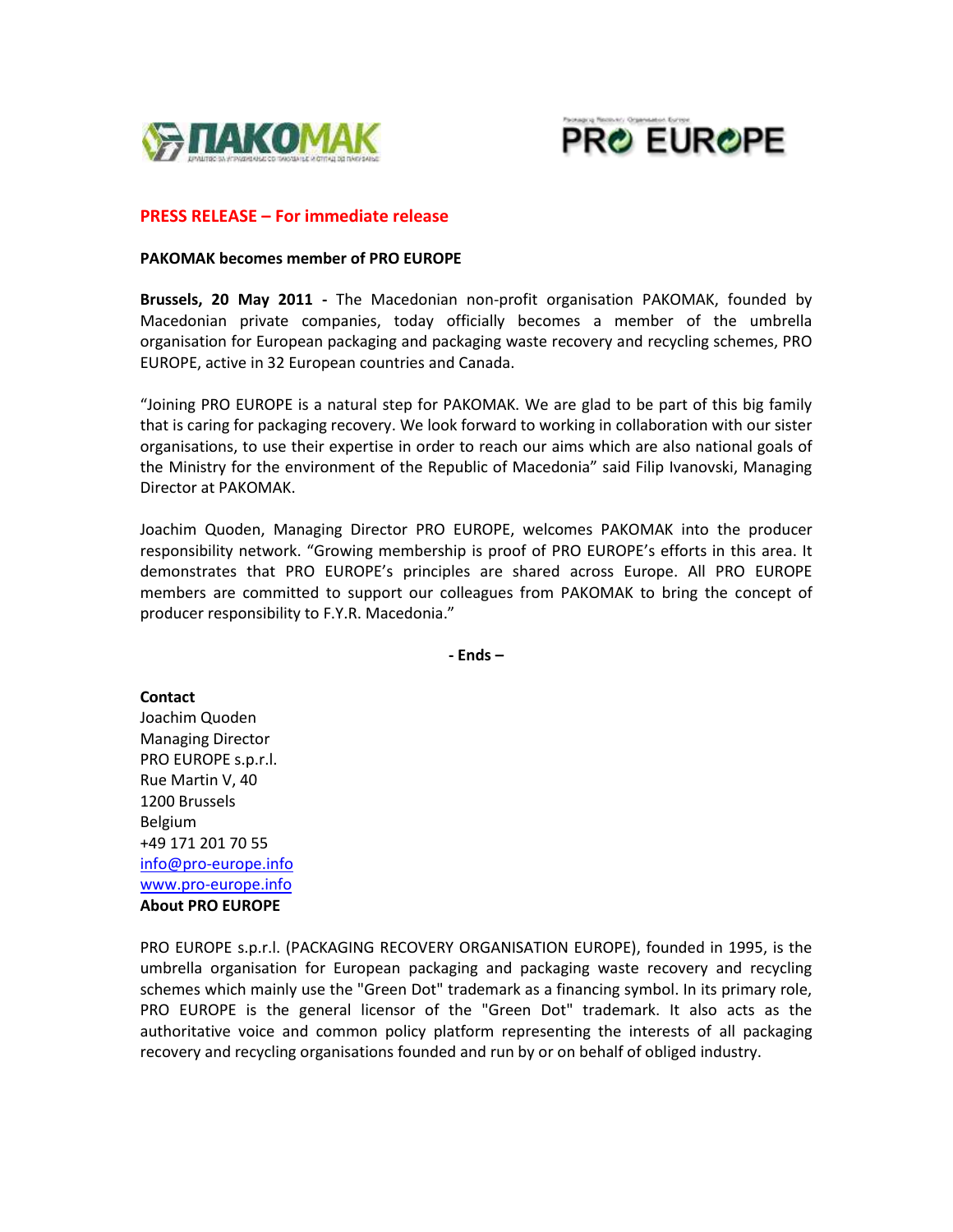



## **PRESS RELEASE – For immediate release**

## **PAKOMAK becomes member of PRO EUROPE**

**Brussels, 20 May 2011 -** The Macedonian non-profit organisation PAKOMAK, founded by Macedonian private companies, today officially becomes a member of the umbrella organisation for European packaging and packaging waste recovery and recycling schemes, PRO EUROPE, active in 32 European countries and Canada.

"Joining PRO EUROPE is a natural step for PAKOMAK. We are glad to be part of this big family that is caring for packaging recovery. We look forward to working in collaboration with our sister organisations, to use their expertise in order to reach our aims which are also national goals of the Ministry for the environment of the Republic of Macedonia" said Filip Ivanovski, Managing Director at PAKOMAK.

Joachim Quoden, Managing Director PRO EUROPE, welcomes PAKOMAK into the producer responsibility network. "Growing membership is proof of PRO EUROPE's efforts in this area. It demonstrates that PRO EUROPE's principles are shared across Europe. All PRO EUROPE members are committed to support our colleagues from PAKOMAK to bring the concept of producer responsibility to F.Y.R. Macedonia."

**- Ends –**

**Contact** Joachim Quoden Managing Director PRO EUROPE s.p.r.l. Rue Martin V, 40 1200 Brussels Belgium +49 171 201 70 55 [info@pro-europe.info](mailto:info@pro-europe.info) [www.pro-europe.info](http://www.pro-europe.info/) **About PRO EUROPE**

PRO EUROPE s.p.r.l. (PACKAGING RECOVERY ORGANISATION EUROPE), founded in 1995, is the umbrella organisation for European packaging and packaging waste recovery and recycling schemes which mainly use the "Green Dot" trademark as a financing symbol. In its primary role, PRO EUROPE is the general licensor of the "Green Dot" trademark. It also acts as the authoritative voice and common policy platform representing the interests of all packaging recovery and recycling organisations founded and run by or on behalf of obliged industry.